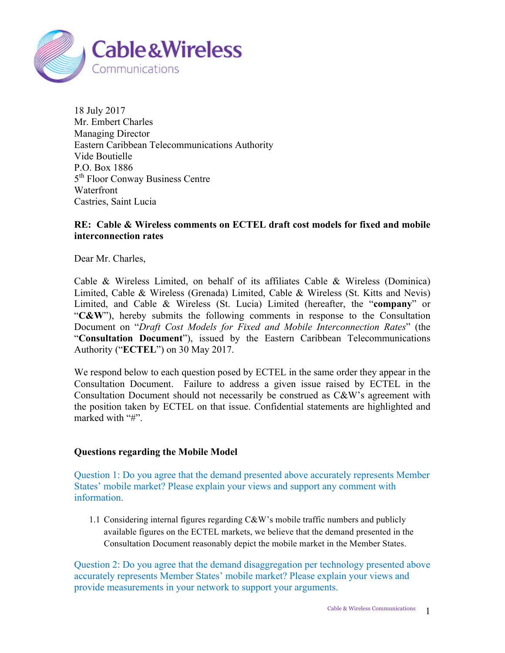

18 July 2017 Mr. Embert Charles Managing Director Eastern Caribbean Telecommunications Authority Vide Boutielle P.O. Box 1886 5<sup>th</sup> Floor Conway Business Centre Waterfront Castries, Saint Lucia

## **RE: Cable & Wireless comments on ECTEL draft cost models for fixed and mobile interconnection rates**

Dear Mr. Charles,

Cable & Wireless Limited, on behalf of its affiliates Cable & Wireless (Dominica) Limited, Cable & Wireless (Grenada) Limited, Cable & Wireless (St. Kitts and Nevis) Limited, and Cable & Wireless (St. Lucia) Limited (hereafter, the "**company**" or "**C&W**"), hereby submits the following comments in response to the Consultation Document on "*Draft Cost Models for Fixed and Mobile Interconnection Rates*" (the "**Consultation Document**"), issued by the Eastern Caribbean Telecommunications Authority ("**ECTEL**") on 30 May 2017.

We respond below to each question posed by ECTEL in the same order they appear in the Consultation Document. Failure to address a given issue raised by ECTEL in the Consultation Document should not necessarily be construed as C&W's agreement with the position taken by ECTEL on that issue. Confidential statements are highlighted and marked with "#".

## **Questions regarding the Mobile Model**

Question 1: Do you agree that the demand presented above accurately represents Member States' mobile market? Please explain your views and support any comment with information.

1.1 Considering internal figures regarding C&W's mobile traffic numbers and publicly available figures on the ECTEL markets, we believe that the demand presented in the Consultation Document reasonably depict the mobile market in the Member States.

Question 2: Do you agree that the demand disaggregation per technology presented above accurately represents Member States' mobile market? Please explain your views and provide measurements in your network to support your arguments.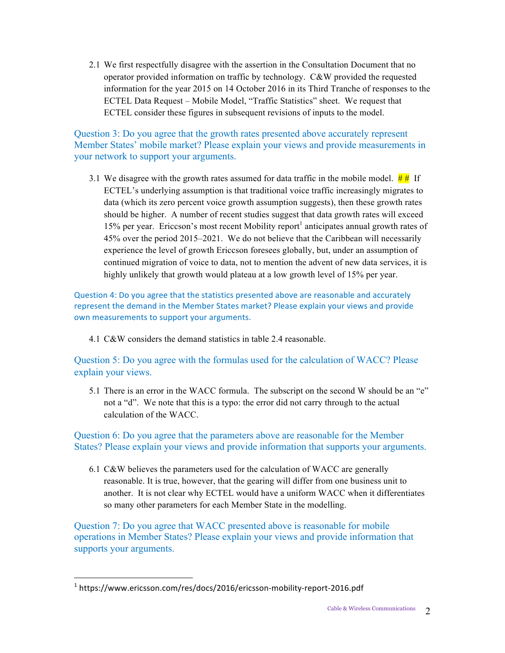2.1 We first respectfully disagree with the assertion in the Consultation Document that no operator provided information on traffic by technology. C&W provided the requested information for the year 2015 on 14 October 2016 in its Third Tranche of responses to the ECTEL Data Request – Mobile Model, "Traffic Statistics" sheet. We request that ECTEL consider these figures in subsequent revisions of inputs to the model.

Question 3: Do you agree that the growth rates presented above accurately represent Member States' mobile market? Please explain your views and provide measurements in your network to support your arguments.

3.1 We disagree with the growth rates assumed for data traffic in the mobile model.  $\frac{H}{H}$  If ECTEL's underlying assumption is that traditional voice traffic increasingly migrates to data (which its zero percent voice growth assumption suggests), then these growth rates should be higher. A number of recent studies suggest that data growth rates will exceed 15% per year. Ericcson's most recent Mobility report<sup>1</sup> anticipates annual growth rates of 45% over the period 2015–2021. We do not believe that the Caribbean will necessarily experience the level of growth Ericcson foresees globally, but, under an assumption of continued migration of voice to data, not to mention the advent of new data services, it is highly unlikely that growth would plateau at a low growth level of 15% per year.

Question 4: Do you agree that the statistics presented above are reasonable and accurately represent the demand in the Member States market? Please explain your views and provide own measurements to support your arguments.

4.1 C&W considers the demand statistics in table 2.4 reasonable.

Question 5: Do you agree with the formulas used for the calculation of WACC? Please explain your views.

5.1 There is an error in the WACC formula. The subscript on the second W should be an "e" not a "d". We note that this is a typo: the error did not carry through to the actual calculation of the WACC.

Question 6: Do you agree that the parameters above are reasonable for the Member States? Please explain your views and provide information that supports your arguments.

6.1 C&W believes the parameters used for the calculation of WACC are generally reasonable. It is true, however, that the gearing will differ from one business unit to another. It is not clear why ECTEL would have a uniform WACC when it differentiates so many other parameters for each Member State in the modelling.

Question 7: Do you agree that WACC presented above is reasonable for mobile operations in Member States? Please explain your views and provide information that supports your arguments.

 $\overline{a}$ 

 $1$  https://www.ericsson.com/res/docs/2016/ericsson-mobility-report-2016.pdf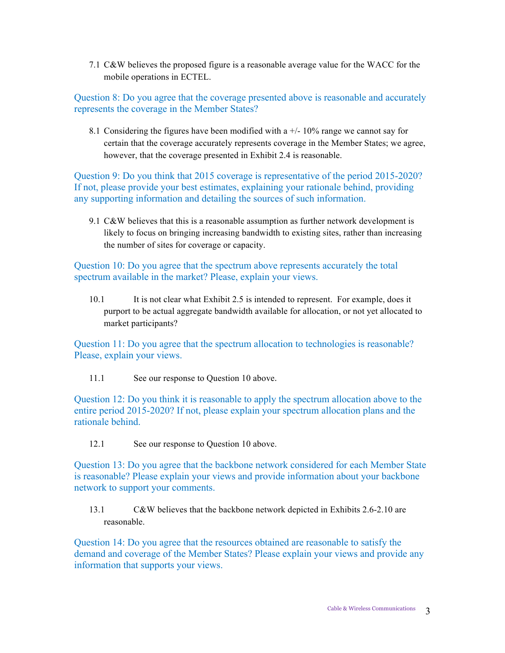7.1 C&W believes the proposed figure is a reasonable average value for the WACC for the mobile operations in ECTEL.

Question 8: Do you agree that the coverage presented above is reasonable and accurately represents the coverage in the Member States?

8.1 Considering the figures have been modified with a  $+/-10\%$  range we cannot say for certain that the coverage accurately represents coverage in the Member States; we agree, however, that the coverage presented in Exhibit 2.4 is reasonable.

Question 9: Do you think that 2015 coverage is representative of the period 2015-2020? If not, please provide your best estimates, explaining your rationale behind, providing any supporting information and detailing the sources of such information.

9.1 C&W believes that this is a reasonable assumption as further network development is likely to focus on bringing increasing bandwidth to existing sites, rather than increasing the number of sites for coverage or capacity.

Question 10: Do you agree that the spectrum above represents accurately the total spectrum available in the market? Please, explain your views.

10.1 It is not clear what Exhibit 2.5 is intended to represent. For example, does it purport to be actual aggregate bandwidth available for allocation, or not yet allocated to market participants?

Question 11: Do you agree that the spectrum allocation to technologies is reasonable? Please, explain your views.

11.1 See our response to Question 10 above.

Question 12: Do you think it is reasonable to apply the spectrum allocation above to the entire period 2015-2020? If not, please explain your spectrum allocation plans and the rationale behind.

12.1 See our response to Question 10 above.

Question 13: Do you agree that the backbone network considered for each Member State is reasonable? Please explain your views and provide information about your backbone network to support your comments.

13.1 C&W believes that the backbone network depicted in Exhibits 2.6-2.10 are reasonable.

Question 14: Do you agree that the resources obtained are reasonable to satisfy the demand and coverage of the Member States? Please explain your views and provide any information that supports your views.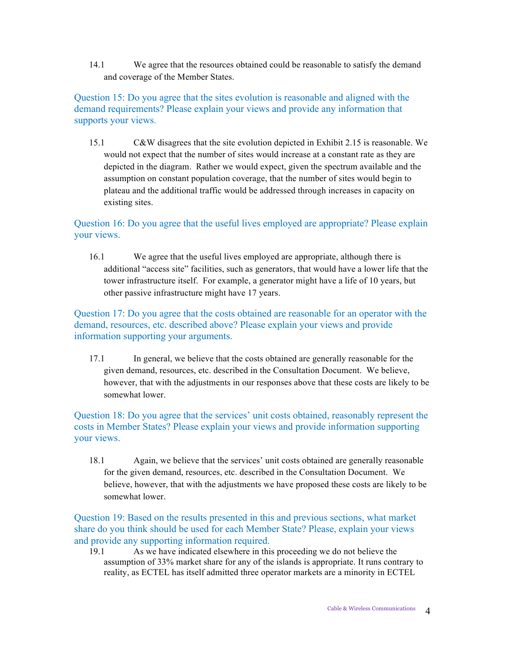14.1 We agree that the resources obtained could be reasonable to satisfy the demand and coverage of the Member States.

Question 15: Do you agree that the sites evolution is reasonable and aligned with the demand requirements? Please explain your views and provide any information that supports your views.

15.1 C&W disagrees that the site evolution depicted in Exhibit 2.15 is reasonable. We would not expect that the number of sites would increase at a constant rate as they are depicted in the diagram. Rather we would expect, given the spectrum available and the assumption on constant population coverage, that the number of sites would begin to plateau and the additional traffic would be addressed through increases in capacity on existing sites.

## Question 16: Do you agree that the useful lives employed are appropriate? Please explain your views.

16.1 We agree that the useful lives employed are appropriate, although there is additional "access site" facilities, such as generators, that would have a lower life that the tower infrastructure itself. For example, a generator might have a life of 10 years, but other passive infrastructure might have 17 years.

Question 17: Do you agree that the costs obtained are reasonable for an operator with the demand, resources, etc. described above? Please explain your views and provide information supporting your arguments.

17.1 In general, we believe that the costs obtained are generally reasonable for the given demand, resources, etc. described in the Consultation Document. We believe, however, that with the adjustments in our responses above that these costs are likely to be somewhat lower.

Question 18: Do you agree that the services' unit costs obtained, reasonably represent the costs in Member States? Please explain your views and provide information supporting your views.

18.1 Again, we believe that the services' unit costs obtained are generally reasonable for the given demand, resources, etc. described in the Consultation Document. We believe, however, that with the adjustments we have proposed these costs are likely to be somewhat lower.

Question 19: Based on the results presented in this and previous sections, what market share do you think should be used for each Member State? Please, explain your views and provide any supporting information required.

19.1 As we have indicated elsewhere in this proceeding we do not believe the assumption of 33% market share for any of the islands is appropriate. It runs contrary to reality, as ECTEL has itself admitted three operator markets are a minority in ECTEL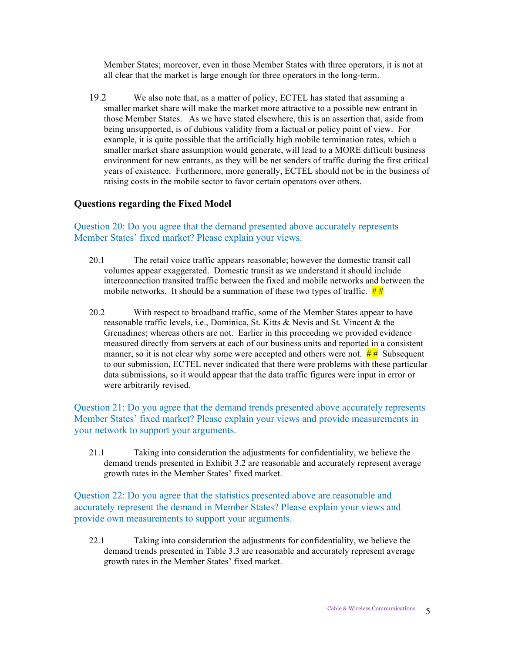Member States; moreover, even in those Member States with three operators, it is not at all clear that the market is large enough for three operators in the long-term.

19.2 We also note that, as a matter of policy, ECTEL has stated that assuming a smaller market share will make the market more attractive to a possible new entrant in those Member States. As we have stated elsewhere, this is an assertion that, aside from being unsupported, is of dubious validity from a factual or policy point of view. For example, it is quite possible that the artificially high mobile termination rates, which a smaller market share assumption would generate, will lead to a MORE difficult business environment for new entrants, as they will be net senders of traffic during the first critical years of existence. Furthermore, more generally, ECTEL should not be in the business of raising costs in the mobile sector to favor certain operators over others.

## **Questions regarding the Fixed Model**

Question 20: Do you agree that the demand presented above accurately represents Member States' fixed market? Please explain your views.

- 20.1 The retail voice traffic appears reasonable; however the domestic transit call volumes appear exaggerated. Domestic transit as we understand it should include interconnection transited traffic between the fixed and mobile networks and between the mobile networks. It should be a summation of these two types of traffic.  $\frac{\mu}{\mu}$
- 20.2 With respect to broadband traffic, some of the Member States appear to have reasonable traffic levels, i.e., Dominica, St. Kitts & Nevis and St. Vincent & the Grenadines; whereas others are not. Earlier in this proceeding we provided evidence measured directly from servers at each of our business units and reported in a consistent manner, so it is not clear why some were accepted and others were not.  $\# \#$  Subsequent to our submission, ECTEL never indicated that there were problems with these particular data submissions, so it would appear that the data traffic figures were input in error or were arbitrarily revised.

Question 21: Do you agree that the demand trends presented above accurately represents Member States' fixed market? Please explain your views and provide measurements in your network to support your arguments.

21.1 Taking into consideration the adjustments for confidentiality, we believe the demand trends presented in Exhibit 3.2 are reasonable and accurately represent average growth rates in the Member States' fixed market.

Question 22: Do you agree that the statistics presented above are reasonable and accurately represent the demand in Member States? Please explain your views and provide own measurements to support your arguments.

22.1 Taking into consideration the adjustments for confidentiality, we believe the demand trends presented in Table 3.3 are reasonable and accurately represent average growth rates in the Member States' fixed market.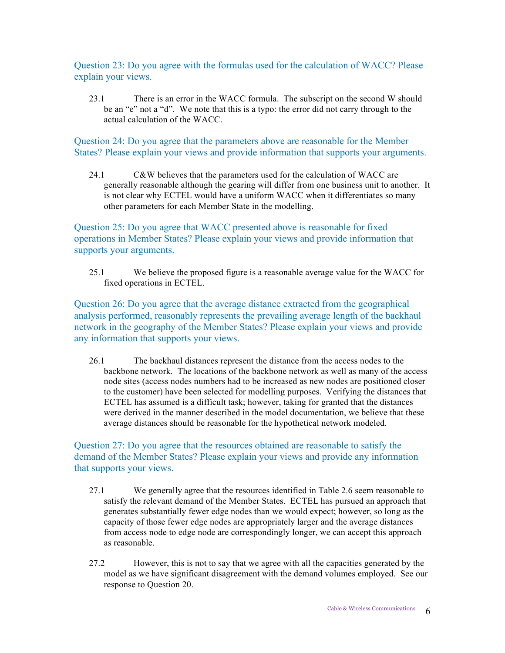Question 23: Do you agree with the formulas used for the calculation of WACC? Please explain your views.

23.1 There is an error in the WACC formula. The subscript on the second W should be an "e" not a "d". We note that this is a typo: the error did not carry through to the actual calculation of the WACC.

Question 24: Do you agree that the parameters above are reasonable for the Member States? Please explain your views and provide information that supports your arguments.

24.1 C&W believes that the parameters used for the calculation of WACC are generally reasonable although the gearing will differ from one business unit to another. It is not clear why ECTEL would have a uniform WACC when it differentiates so many other parameters for each Member State in the modelling.

Question 25: Do you agree that WACC presented above is reasonable for fixed operations in Member States? Please explain your views and provide information that supports your arguments.

25.1 We believe the proposed figure is a reasonable average value for the WACC for fixed operations in ECTEL.

Question 26: Do you agree that the average distance extracted from the geographical analysis performed, reasonably represents the prevailing average length of the backhaul network in the geography of the Member States? Please explain your views and provide any information that supports your views.

26.1 The backhaul distances represent the distance from the access nodes to the backbone network. The locations of the backbone network as well as many of the access node sites (access nodes numbers had to be increased as new nodes are positioned closer to the customer) have been selected for modelling purposes. Verifying the distances that ECTEL has assumed is a difficult task; however, taking for granted that the distances were derived in the manner described in the model documentation, we believe that these average distances should be reasonable for the hypothetical network modeled.

Question 27: Do you agree that the resources obtained are reasonable to satisfy the demand of the Member States? Please explain your views and provide any information that supports your views.

- 27.1 We generally agree that the resources identified in Table 2.6 seem reasonable to satisfy the relevant demand of the Member States. ECTEL has pursued an approach that generates substantially fewer edge nodes than we would expect; however, so long as the capacity of those fewer edge nodes are appropriately larger and the average distances from access node to edge node are correspondingly longer, we can accept this approach as reasonable.
- 27.2 However, this is not to say that we agree with all the capacities generated by the model as we have significant disagreement with the demand volumes employed. See our response to Question 20.